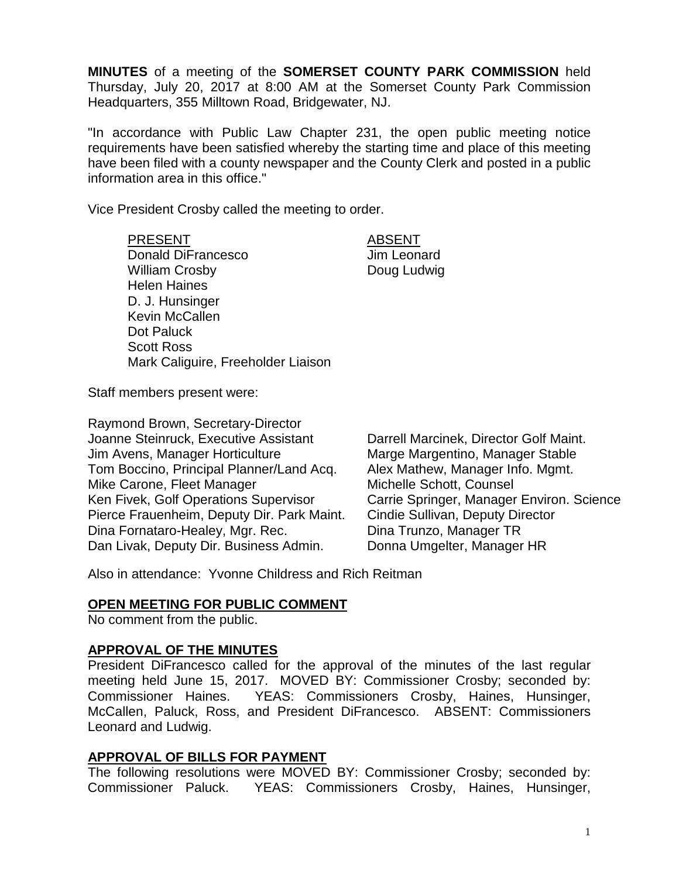**MINUTES** of a meeting of the **SOMERSET COUNTY PARK COMMISSION** held Thursday, July 20, 2017 at 8:00 AM at the Somerset County Park Commission Headquarters, 355 Milltown Road, Bridgewater, NJ.

"In accordance with Public Law Chapter 231, the open public meeting notice requirements have been satisfied whereby the starting time and place of this meeting have been filed with a county newspaper and the County Clerk and posted in a public information area in this office."

Vice President Crosby called the meeting to order.

PRESENT ABSENT Donald DiFrancesco Jim Leonard William Crosby **Doug Ludwig** Helen Haines D. J. Hunsinger Kevin McCallen Dot Paluck Scott Ross Mark Caliguire, Freeholder Liaison

Staff members present were:

Raymond Brown, Secretary-Director Joanne Steinruck, Executive Assistant Darrell Marcinek, Director Golf Maint. Jim Avens, Manager Horticulture Marge Margentino, Manager Stable Tom Boccino, Principal Planner/Land Acq. Alex Mathew, Manager Info. Mgmt. Mike Carone, Fleet Manager Michelle Schott, Counsel Ken Fivek, Golf Operations Supervisor Carrie Springer, Manager Environ. Science Pierce Frauenheim, Deputy Dir. Park Maint. Cindie Sullivan, Deputy Director Dina Fornataro-Healey, Mgr. Rec. Dina Trunzo, Manager TR Dan Livak, Deputy Dir. Business Admin. Donna Umgelter, Manager HR

Also in attendance: Yvonne Childress and Rich Reitman

#### **OPEN MEETING FOR PUBLIC COMMENT**

No comment from the public.

#### **APPROVAL OF THE MINUTES**

President DiFrancesco called for the approval of the minutes of the last regular meeting held June 15, 2017. MOVED BY: Commissioner Crosby; seconded by: Commissioner Haines. YEAS: Commissioners Crosby, Haines, Hunsinger, McCallen, Paluck, Ross, and President DiFrancesco. ABSENT: Commissioners Leonard and Ludwig.

#### **APPROVAL OF BILLS FOR PAYMENT**

The following resolutions were MOVED BY: Commissioner Crosby; seconded by: Commissioner Paluck. YEAS: Commissioners Crosby, Haines, Hunsinger,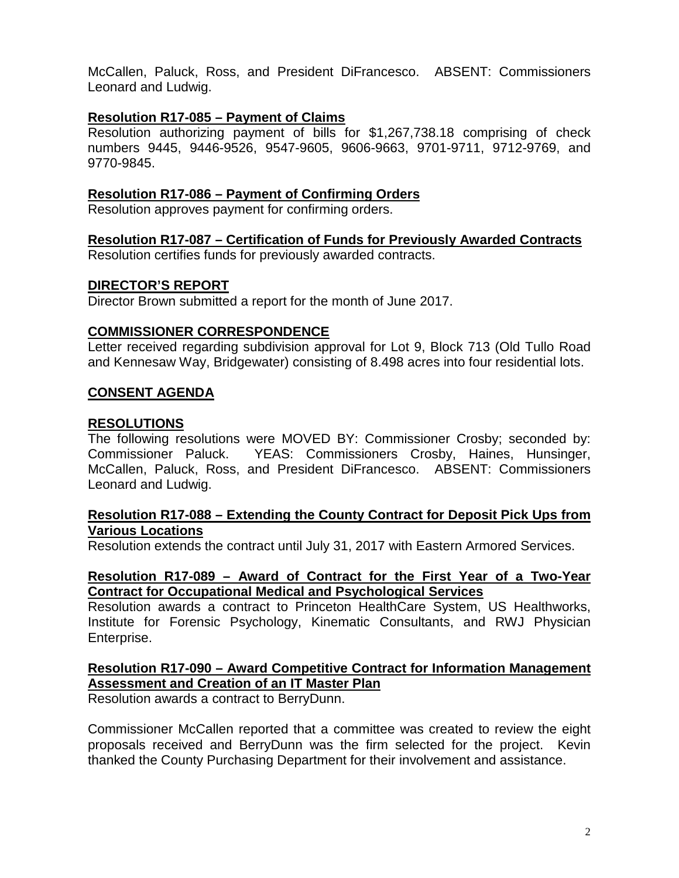McCallen, Paluck, Ross, and President DiFrancesco. ABSENT: Commissioners Leonard and Ludwig.

#### **Resolution R17-085 – Payment of Claims**

Resolution authorizing payment of bills for \$1,267,738.18 comprising of check numbers 9445, 9446-9526, 9547-9605, 9606-9663, 9701-9711, 9712-9769, and 9770-9845.

#### **Resolution R17-086 – Payment of Confirming Orders**

Resolution approves payment for confirming orders.

# **Resolution R17-087 – Certification of Funds for Previously Awarded Contracts**

Resolution certifies funds for previously awarded contracts.

#### **DIRECTOR'S REPORT**

Director Brown submitted a report for the month of June 2017.

#### **COMMISSIONER CORRESPONDENCE**

Letter received regarding subdivision approval for Lot 9, Block 713 (Old Tullo Road and Kennesaw Way, Bridgewater) consisting of 8.498 acres into four residential lots.

#### **CONSENT AGENDA**

#### **RESOLUTIONS**

The following resolutions were MOVED BY: Commissioner Crosby; seconded by: Commissioner Paluck. YEAS: Commissioners Crosby, Haines, Hunsinger, McCallen, Paluck, Ross, and President DiFrancesco. ABSENT: Commissioners Leonard and Ludwig.

#### **Resolution R17-088 – Extending the County Contract for Deposit Pick Ups from Various Locations**

Resolution extends the contract until July 31, 2017 with Eastern Armored Services.

#### **Resolution R17-089 – Award of Contract for the First Year of a Two-Year Contract for Occupational Medical and Psychological Services**

Resolution awards a contract to Princeton HealthCare System, US Healthworks, Institute for Forensic Psychology, Kinematic Consultants, and RWJ Physician Enterprise.

## **Resolution R17-090 – Award Competitive Contract for Information Management Assessment and Creation of an IT Master Plan**

Resolution awards a contract to BerryDunn.

Commissioner McCallen reported that a committee was created to review the eight proposals received and BerryDunn was the firm selected for the project. Kevin thanked the County Purchasing Department for their involvement and assistance.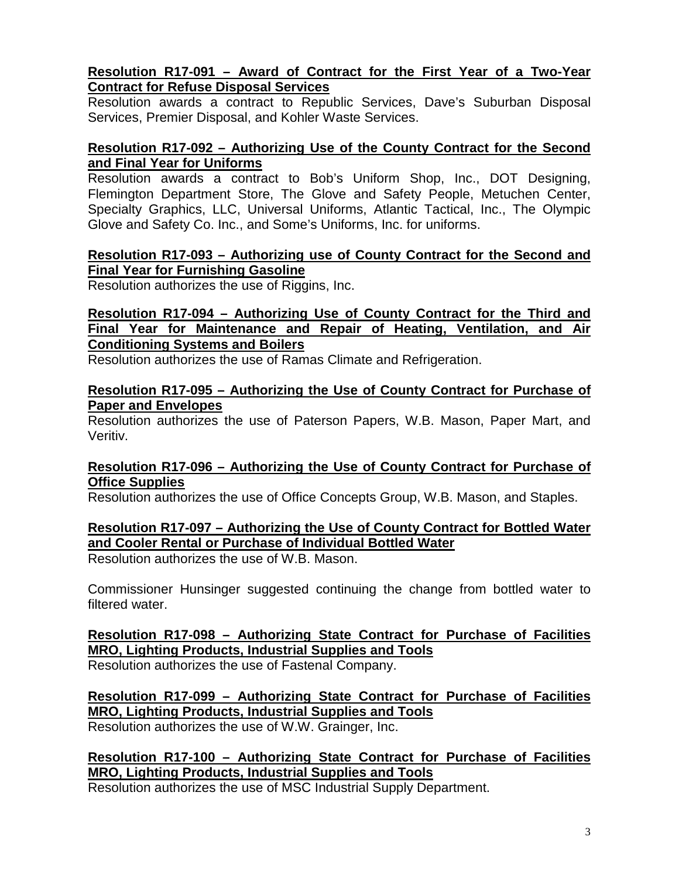#### **Resolution R17-091 – Award of Contract for the First Year of a Two-Year Contract for Refuse Disposal Services**

Resolution awards a contract to Republic Services, Dave's Suburban Disposal Services, Premier Disposal, and Kohler Waste Services.

#### **Resolution R17-092 – Authorizing Use of the County Contract for the Second and Final Year for Uniforms**

Resolution awards a contract to Bob's Uniform Shop, Inc., DOT Designing, Flemington Department Store, The Glove and Safety People, Metuchen Center, Specialty Graphics, LLC, Universal Uniforms, Atlantic Tactical, Inc., The Olympic Glove and Safety Co. Inc., and Some's Uniforms, Inc. for uniforms.

## **Resolution R17-093 – Authorizing use of County Contract for the Second and Final Year for Furnishing Gasoline**

Resolution authorizes the use of Riggins, Inc.

#### **Resolution R17-094 – Authorizing Use of County Contract for the Third and Final Year for Maintenance and Repair of Heating, Ventilation, and Air Conditioning Systems and Boilers**

Resolution authorizes the use of Ramas Climate and Refrigeration.

#### **Resolution R17-095 – Authorizing the Use of County Contract for Purchase of Paper and Envelopes**

Resolution authorizes the use of Paterson Papers, W.B. Mason, Paper Mart, and Veritiv.

#### **Resolution R17-096 – Authorizing the Use of County Contract for Purchase of Office Supplies**

Resolution authorizes the use of Office Concepts Group, W.B. Mason, and Staples.

## **Resolution R17-097 – Authorizing the Use of County Contract for Bottled Water and Cooler Rental or Purchase of Individual Bottled Water**

Resolution authorizes the use of W.B. Mason.

Commissioner Hunsinger suggested continuing the change from bottled water to filtered water.

# **Resolution R17-098 – Authorizing State Contract for Purchase of Facilities MRO, Lighting Products, Industrial Supplies and Tools**

Resolution authorizes the use of Fastenal Company.

**Resolution R17-099 – Authorizing State Contract for Purchase of Facilities MRO, Lighting Products, Industrial Supplies and Tools** Resolution authorizes the use of W.W. Grainger, Inc.

## **Resolution R17-100 – Authorizing State Contract for Purchase of Facilities MRO, Lighting Products, Industrial Supplies and Tools**

Resolution authorizes the use of MSC Industrial Supply Department.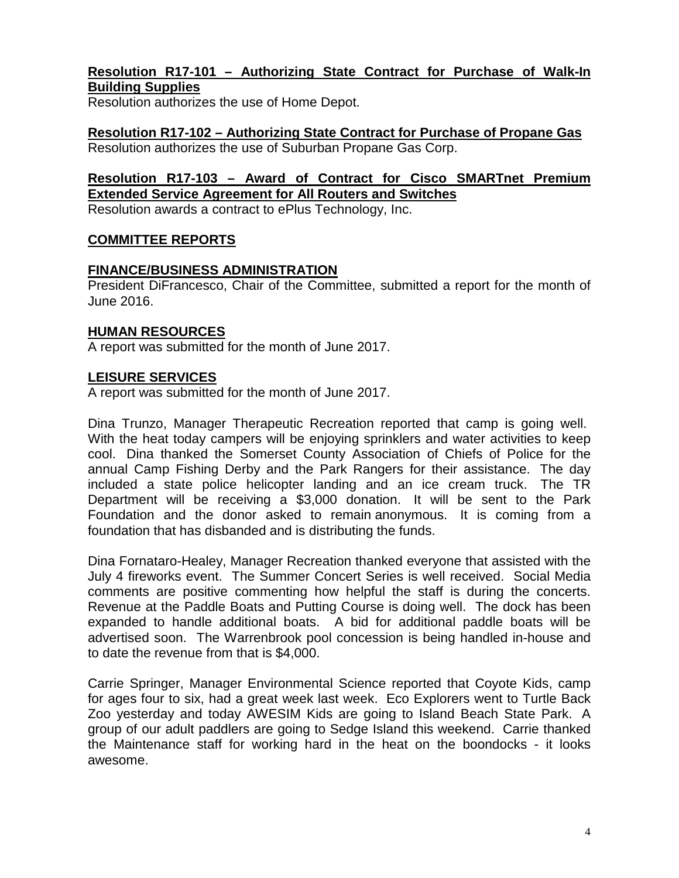## **Resolution R17-101 – Authorizing State Contract for Purchase of Walk-In Building Supplies**

Resolution authorizes the use of Home Depot.

# **Resolution R17-102 – Authorizing State Contract for Purchase of Propane Gas**

Resolution authorizes the use of Suburban Propane Gas Corp.

## **Resolution R17-103 – Award of Contract for Cisco SMARTnet Premium Extended Service Agreement for All Routers and Switches**

Resolution awards a contract to ePlus Technology, Inc.

## **COMMITTEE REPORTS**

## **FINANCE/BUSINESS ADMINISTRATION**

President DiFrancesco, Chair of the Committee, submitted a report for the month of June 2016.

## **HUMAN RESOURCES**

A report was submitted for the month of June 2017.

## **LEISURE SERVICES**

A report was submitted for the month of June 2017.

Dina Trunzo, Manager Therapeutic Recreation reported that camp is going well. With the heat today campers will be enjoying sprinklers and water activities to keep cool. Dina thanked the Somerset County Association of Chiefs of Police for the annual Camp Fishing Derby and the Park Rangers for their assistance. The day included a state police helicopter landing and an ice cream truck. The TR Department will be receiving a \$3,000 donation. It will be sent to the Park Foundation and the donor asked to remain anonymous. It is coming from a foundation that has disbanded and is distributing the funds.

Dina Fornataro-Healey, Manager Recreation thanked everyone that assisted with the July 4 fireworks event. The Summer Concert Series is well received. Social Media comments are positive commenting how helpful the staff is during the concerts. Revenue at the Paddle Boats and Putting Course is doing well. The dock has been expanded to handle additional boats. A bid for additional paddle boats will be advertised soon. The Warrenbrook pool concession is being handled in-house and to date the revenue from that is \$4,000.

Carrie Springer, Manager Environmental Science reported that Coyote Kids, camp for ages four to six, had a great week last week. Eco Explorers went to Turtle Back Zoo yesterday and today AWESIM Kids are going to Island Beach State Park. A group of our adult paddlers are going to Sedge Island this weekend. Carrie thanked the Maintenance staff for working hard in the heat on the boondocks - it looks awesome.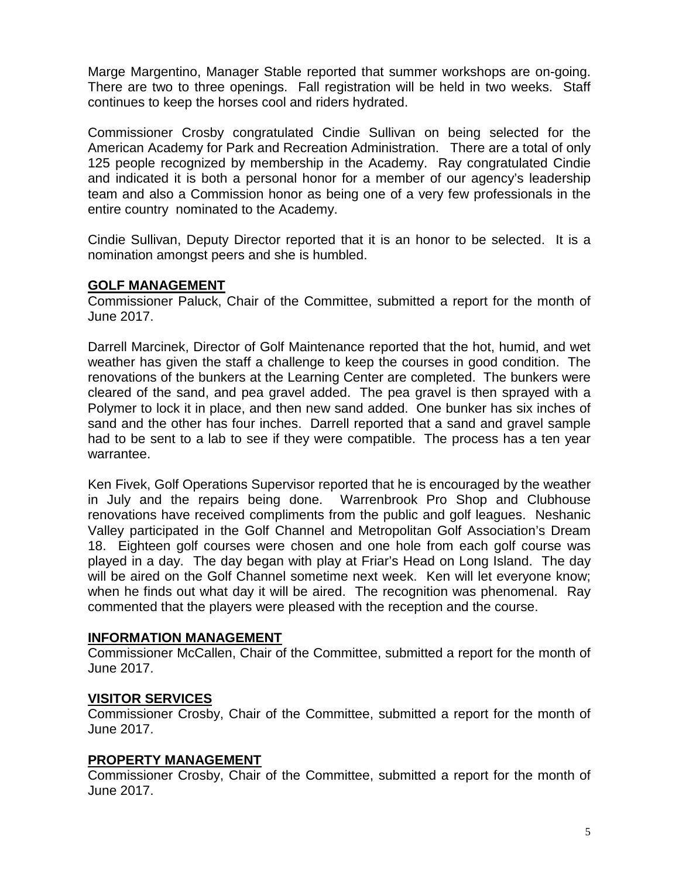Marge Margentino, Manager Stable reported that summer workshops are on-going. There are two to three openings. Fall registration will be held in two weeks. Staff continues to keep the horses cool and riders hydrated.

Commissioner Crosby congratulated Cindie Sullivan on being selected for the American Academy for Park and Recreation Administration. There are a total of only 125 people recognized by membership in the Academy. Ray congratulated Cindie and indicated it is both a personal honor for a member of our agency's leadership team and also a Commission honor as being one of a very few professionals in the entire country nominated to the Academy.

Cindie Sullivan, Deputy Director reported that it is an honor to be selected. It is a nomination amongst peers and she is humbled.

## **GOLF MANAGEMENT**

Commissioner Paluck, Chair of the Committee, submitted a report for the month of June 2017.

Darrell Marcinek, Director of Golf Maintenance reported that the hot, humid, and wet weather has given the staff a challenge to keep the courses in good condition. The renovations of the bunkers at the Learning Center are completed. The bunkers were cleared of the sand, and pea gravel added. The pea gravel is then sprayed with a Polymer to lock it in place, and then new sand added. One bunker has six inches of sand and the other has four inches. Darrell reported that a sand and gravel sample had to be sent to a lab to see if they were compatible. The process has a ten year warrantee.

Ken Fivek, Golf Operations Supervisor reported that he is encouraged by the weather in July and the repairs being done. Warrenbrook Pro Shop and Clubhouse renovations have received compliments from the public and golf leagues. Neshanic Valley participated in the Golf Channel and Metropolitan Golf Association's Dream 18. Eighteen golf courses were chosen and one hole from each golf course was played in a day. The day began with play at Friar's Head on Long Island. The day will be aired on the Golf Channel sometime next week. Ken will let everyone know; when he finds out what day it will be aired. The recognition was phenomenal. Ray commented that the players were pleased with the reception and the course.

#### **INFORMATION MANAGEMENT**

Commissioner McCallen, Chair of the Committee, submitted a report for the month of June 2017.

#### **VISITOR SERVICES**

Commissioner Crosby, Chair of the Committee, submitted a report for the month of June 2017.

#### **PROPERTY MANAGEMENT**

Commissioner Crosby, Chair of the Committee, submitted a report for the month of June 2017.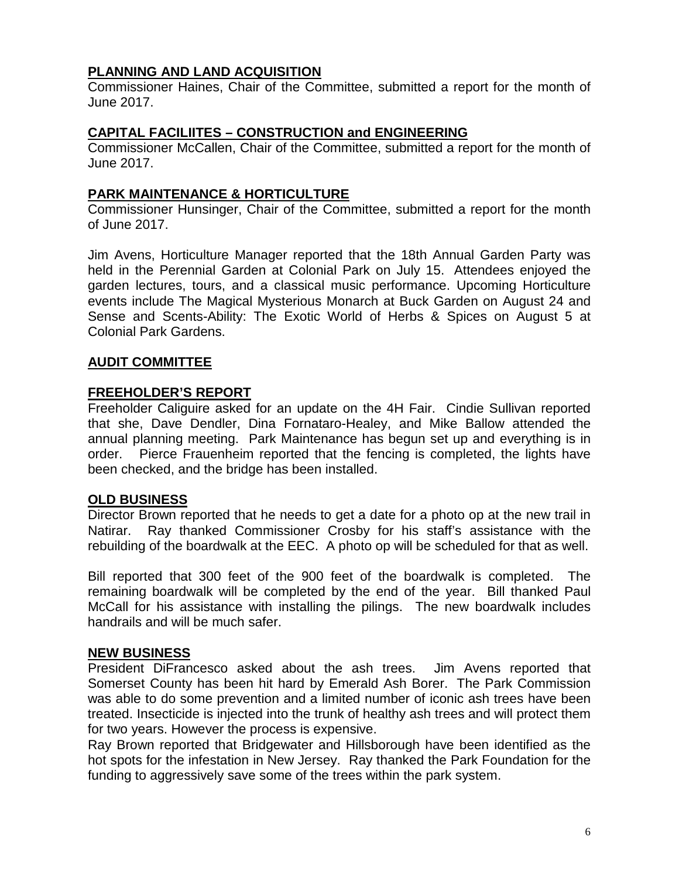## **PLANNING AND LAND ACQUISITION**

Commissioner Haines, Chair of the Committee, submitted a report for the month of June 2017.

#### **CAPITAL FACILIITES – CONSTRUCTION and ENGINEERING**

Commissioner McCallen, Chair of the Committee, submitted a report for the month of June 2017.

## **PARK MAINTENANCE & HORTICULTURE**

Commissioner Hunsinger, Chair of the Committee, submitted a report for the month of June 2017.

Jim Avens, Horticulture Manager reported that the 18th Annual Garden Party was held in the Perennial Garden at Colonial Park on July 15. Attendees enjoyed the garden lectures, tours, and a classical music performance. Upcoming Horticulture events include The Magical Mysterious Monarch at Buck Garden on August 24 and Sense and Scents-Ability: The Exotic World of Herbs & Spices on August 5 at Colonial Park Gardens.

#### **AUDIT COMMITTEE**

## **FREEHOLDER'S REPORT**

Freeholder Caliguire asked for an update on the 4H Fair. Cindie Sullivan reported that she, Dave Dendler, Dina Fornataro-Healey, and Mike Ballow attended the annual planning meeting. Park Maintenance has begun set up and everything is in order. Pierce Frauenheim reported that the fencing is completed, the lights have been checked, and the bridge has been installed.

#### **OLD BUSINESS**

Director Brown reported that he needs to get a date for a photo op at the new trail in Natirar. Ray thanked Commissioner Crosby for his staff's assistance with the rebuilding of the boardwalk at the EEC. A photo op will be scheduled for that as well.

Bill reported that 300 feet of the 900 feet of the boardwalk is completed. The remaining boardwalk will be completed by the end of the year. Bill thanked Paul McCall for his assistance with installing the pilings. The new boardwalk includes handrails and will be much safer.

#### **NEW BUSINESS**

President DiFrancesco asked about the ash trees. Jim Avens reported that Somerset County has been hit hard by Emerald Ash Borer. The Park Commission was able to do some prevention and a limited number of iconic ash trees have been treated. Insecticide is injected into the trunk of healthy ash trees and will protect them for two years. However the process is expensive.

Ray Brown reported that Bridgewater and Hillsborough have been identified as the hot spots for the infestation in New Jersey. Ray thanked the Park Foundation for the funding to aggressively save some of the trees within the park system.